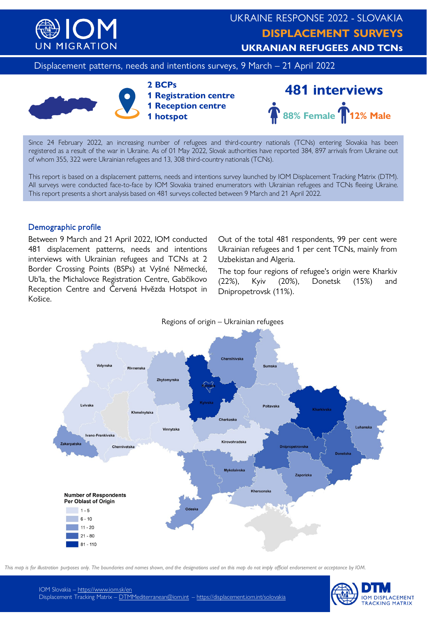

Displacement patterns, needs and intentions surveys, 9 March - 21 April 2022







Since 24 February 2022, an increasing number of refugees and third-country nationals (TCNs) entering Slovakia has been registered as a result of the war in Ukraine. As of 01 May 2022, Slovak authorities have reported 384, 897 arrivals from Ukraine out of whom 355, 322 were Ukrainian refugees and 13, 308 third-country nationals (TCNs).

This report is based on a displacement patterns, needs and intentions survey launched by IOM Displacement Tracking Matrix (DTM). All surveys were conducted face-to-face by IOM Slovakia trained enumerators with Ukrainian refugees and TCNs fleeing Ukraine. This report presents a short analysis based on 481 surveys collected between 9 March and 21 April 2022.

## Demographic profile

Between 9 March and 21 April 2022, IOM conducted 481 displacement patterns, needs and intentions interviews with Ukrainian refugees and TCNs at 2 Border Crossing Points (BSPs) at Vyšné Německé, Ub'la, the Michalovce Registration Centre, Gabčíkovo Reception Centre and Červená Hvězda Hotspot in Košice.

Out of the total 481 respondents, 99 per cent were Ukrainian refugees and 1 per cent TCNs, mainly from Uzbekistan and Algeria.

The top four regions of refugee's origin were Kharkiv (22%), Kyiv (20%), Donetsk (15%) and Dnipropetrovsk (11%).



*This map is for illustration purposes only. The boundaries and names shown, and the designations used on this map do not imply official endorsement or acceptance by IOM.*

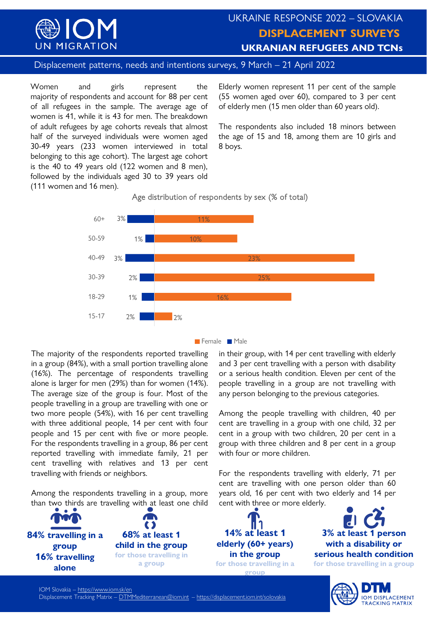

# UKRAINE RESPONSE 2022 – SLOVAKIA **DISPLACEMENT SURVEYS UKRANIAN REFUGEES AND TCNs**

Displacement patterns, needs and intentions surveys, 9 March – 21 April 2022

Women and girls represent the majority of respondents and account for 88 per cent of all refugees in the sample. The average age of women is 41, while it is 43 for men. The breakdown of adult refugees by age cohorts reveals that almost half of the surveyed individuals were women aged 30-49 years (233 women interviewed in total belonging to this age cohort). The largest age cohort is the 40 to 49 years old (122 women and 8 men), followed by the individuals aged 30 to 39 years old (111 women and 16 men).

Elderly women represent 11 per cent of the sample (55 women aged over 60), compared to 3 per cent of elderly men (15 men older than 60 years old).

The respondents also included 18 minors between the age of 15 and 18, among them are 10 girls and 8 boys.

Age distribution of respondents by sex (% of total)



**Female** Male

The majority of the respondents reported travelling in a group (84%), with a small portion travelling alone (16%). The percentage of respondents travelling alone is larger for men (29%) than for women (14%). The average size of the group is four. Most of the people travelling in a group are travelling with one or two more people (54%), with 16 per cent travelling with three additional people, 14 per cent with four people and 15 per cent with five or more people. For the respondents travelling in a group, 86 per cent reported travelling with immediate family, 21 per cent travelling with relatives and 13 per cent travelling with friends or neighbors.

Among the respondents travelling in a group, more than two thirds are travelling with at least one child



in their group, with 14 per cent travelling with elderly and 3 per cent travelling with a person with disability or a serious health condition. Eleven per cent of the people travelling in a group are not travelling with any person belonging to the previous categories.

Among the people travelling with children, 40 per cent are travelling in a group with one child, 32 per cent in a group with two children, 20 per cent in a group with three children and 8 per cent in a group with four or more children.

For the respondents travelling with elderly, 71 per cent are travelling with one person older than 60 years old, 16 per cent with two elderly and 14 per cent with three or more elderly.



**3% at least 1 person with a disability or serious health condition for those travelling in a group**

> **IOM DISPLACEMENT TRACKING MATRIX**

IOM Slovakia – <https://www.iom.sk/en> Displacement Tracking Matrix – [DTMMediterranean@iom.int](mailto:DTMMediterranean@iom.int) – <https://displacement.iom.int/solovakia>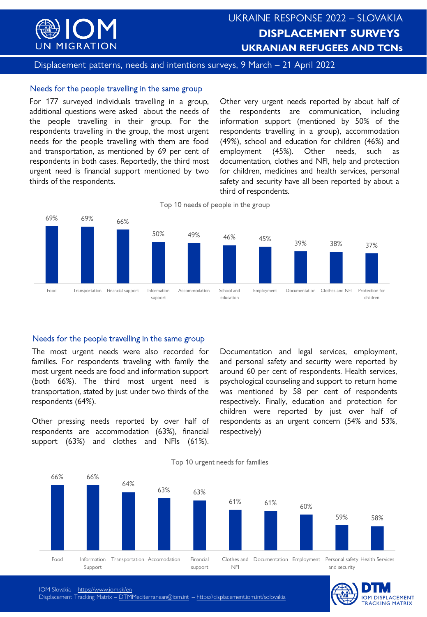

Displacement patterns, needs and intentions surveys, 9 March – 21 April 2022

#### Needs for the people travelling in the same group

For 177 surveyed individuals travelling in a group, additional questions were asked about the needs of the people travelling in their group. For the respondents travelling in the group, the most urgent needs for the people travelling with them are food and transportation, as mentioned by 69 per cent of respondents in both cases. Reportedly, the third most urgent need is financial support mentioned by two thirds of the respondents.

Other very urgent needs reported by about half of the respondents are communication, including information support (mentioned by 50% of the respondents travelling in a group), accommodation (49%), school and education for children (46%) and employment (45%). Other needs, such as documentation, clothes and NFI, help and protection for children, medicines and health services, personal safety and security have all been reported by about a third of respondents.



Top 10 needs of people in the group

### Needs for the people travelling in the same group

The most urgent needs were also recorded for families. For respondents traveling with family the most urgent needs are food and information support (both 66%). The third most urgent need is transportation, stated by just under two thirds of the respondents (64%).

Other pressing needs reported by over half of respondents are accommodation (63%), financial support (63%) and clothes and NFIs (61%).

Documentation and legal services, employment, and personal safety and security were reported by around 60 per cent of respondents. Health services, psychological counseling and support to return home was mentioned by 58 per cent of respondents respectively. Finally, education and protection for children were reported by just over half of respondents as an urgent concern (54% and 53%, respectively)



Top 10 urgent needs for families

**IOM DISPLACEMENT TRACKING MATRIX** 

IOM Slovakia – <https://www.iom.sk/en>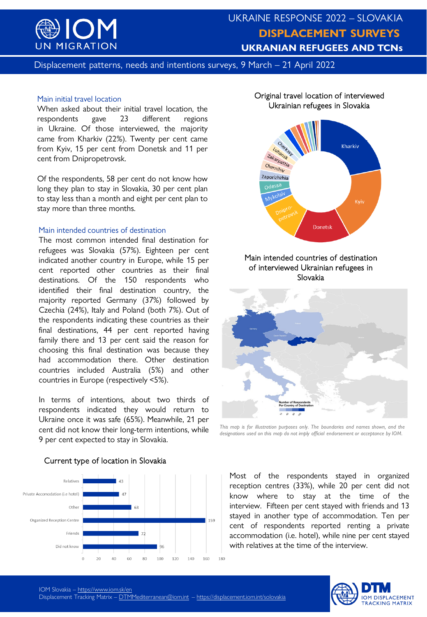

# **UKRAINE RESPONSE 2022** UKRAINE RESPONSE 2022 – SLOVAKIA **DISPLACEMENT SURVEYS DISPLACEMENT SURVEYS** UKRANIAN REFUGEES AND TCNs – REPUBLIC OF MOLDOVA **UKRANIAN REFUGEES AND TCNs**

Displacement patterns, needs and intentions surveys, 9 March – 21 April 2022

#### Main initial travel location

When asked about their initial travel location, the respondents gave 23 different regions in Ukraine. Of those interviewed, the majority came from Kharkiv (22%). Twenty per cent came from Kyiv, 15 per cent from Donetsk and 11 per cent from Dnipropetrovsk.

Of the respondents, 58 per cent do not know how long they plan to stay in Slovakia, 30 per cent plan to stay less than a month and eight per cent plan to stay more than three months.

#### Main intended countries of destination

The most common intended final destination for refugees was Slovakia (57%). Eighteen per cent indicated another country in Europe, while 15 per cent reported other countries as their final destinations. Of the 150 respondents who identified their final destination country, the majority reported Germany (37%) followed by Czechia (24%), Italy and Poland (both 7%). Out of the respondents indicating these countries as their final destinations, 44 per cent reported having family there and 13 per cent said the reason for choosing this final destination was because they had accommodation there. Other destination countries included Australia (5%) and other countries in Europe (respectively <5%).

In terms of intentions, about two thirds of respondents indicated they would return to Ukraine once it was safe (65%). Meanwhile, 21 per cent did not know their long-term intentions, while 9 per cent expected to stay in Slovakia.



#### Current type of location in Slovakia

#### Original travel location of interviewed Ukrainian refugees in Slovakia



#### Main intended countries of destination of interviewed Ukrainian refugees in Slovakia



*This map is for illustration purposes only. The boundaries and names shown, and the designations used on this map do not imply official endorsement or acceptance by IOM.*

Most of the respondents stayed in organized reception centres (33%), while 20 per cent did not know where to stay at the time of the interview. Fifteen per cent stayed with friends and 13 stayed in another type of accommodation. Ten per cent of respondents reported renting a private accommodation (i.e. hotel), while nine per cent stayed with relatives at the time of the interview.